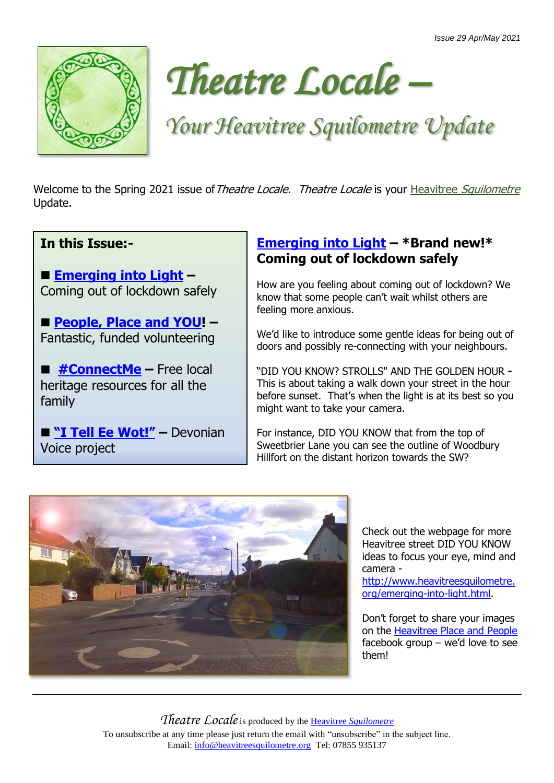



# *Your Heavitree Squilometre Update*

Welcome to the Spring 2021 issue of Theatre Locale. Theatre Locale is your Heavitree [Squilometre](http://www.heavitreesquilometre.org/) Update.

#### **In this Issue:-**

■ **[Emerging into Light](http://www.heavitreesquilometre.org/emerging-into-light.html)** – Coming out of lockdown safely

■ **[People, Place and YOU!](http://www.interwovenproductions.com/be-a-place-champion.html)** – Fantastic, funded volunteering

■ #**ConnectMe** – Free local heritage resources for all the family

◼ **["I Tell Ee Wot!"](http://www.interwovenproductions.com/i-tell-ee-wot.html) –** Devonian Voice project

#### **[Emerging into Light](http://www.heavitreesquilometre.org/emerging-into-light.html) – \*Brand new!\* Coming out of lockdown safely**

How are you feeling about coming out of lockdown? We know that some people can't wait whilst others are feeling more anxious.

We'd like to introduce some gentle ideas for being out of doors and possibly re-connecting with your neighbours.

"DID YOU KNOW? STROLLS" AND THE GOLDEN HOUR **-** This is about taking a walk down your street in the hour before sunset. That's when the light is at its best so you might want to take your camera.

For instance, DID YOU KNOW that from the top of Sweetbrier Lane you can see the outline of Woodbury Hillfort on the distant horizon towards the SW?



Check out the webpage for more Heavitree street DID YOU KNOW ideas to focus your eye, mind and camera -

[http://www.heavitreesquilometre.](http://www.heavitreesquilometre.org/emerging-into-light.html) [org/emerging-into-light.html.](http://www.heavitreesquilometre.org/emerging-into-light.html)

Don't forget to share your images on the [Heavitree Place and People](https://www.facebook.com/groups/1945268569075564) facebook group – we'd love to see them!

*Theatre Locale*is produced by the Heavitree *[Squilometre](http://www.heavitreesquilometre.org/)* To unsubscribe at any time please just return the email with "unsubscribe" in the subject line. Email: [info@heavitreesquilometre.org](mailto:info@heavitreesquilometre.org) Tel: 07855 935137